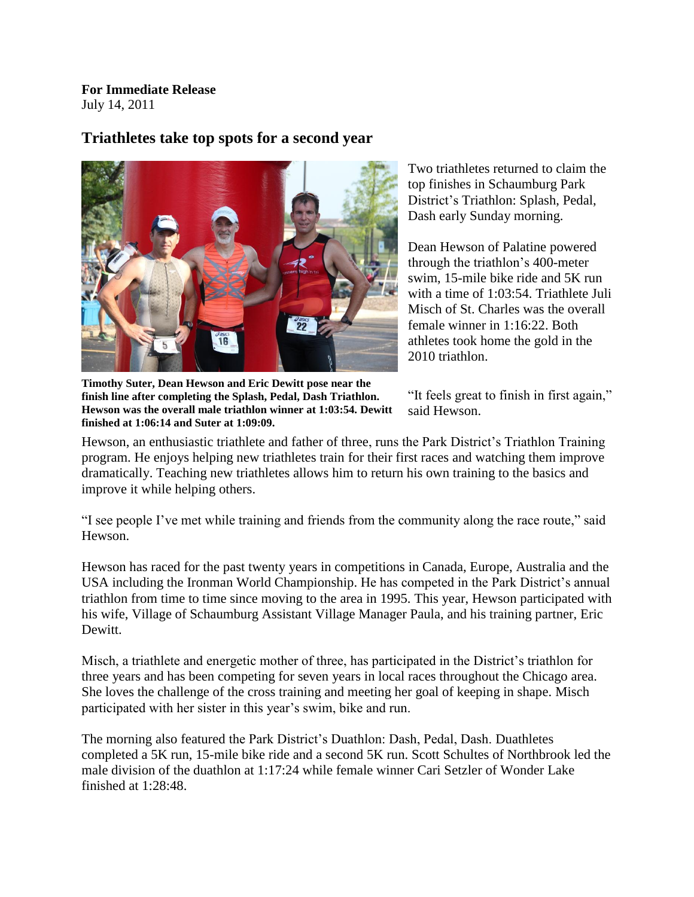**For Immediate Release** July 14, 2011

## **Triathletes take top spots for a second year**



Two triathletes returned to claim the top finishes in Schaumburg Park District's Triathlon: Splash, Pedal, Dash early Sunday morning.

Dean Hewson of Palatine powered through the triathlon's 400-meter swim, 15-mile bike ride and 5K run with a time of 1:03:54. Triathlete Juli Misch of St. Charles was the overall female winner in 1:16:22. Both athletes took home the gold in the 2010 triathlon.

**Timothy Suter, Dean Hewson and Eric Dewitt pose near the finish line after completing the Splash, Pedal, Dash Triathlon. Hewson was the overall male triathlon winner at 1:03:54. Dewitt finished at 1:06:14 and Suter at 1:09:09.**

"It feels great to finish in first again," said Hewson.

Hewson, an enthusiastic triathlete and father of three, runs the Park District's Triathlon Training program. He enjoys helping new triathletes train for their first races and watching them improve dramatically. Teaching new triathletes allows him to return his own training to the basics and improve it while helping others.

"I see people I've met while training and friends from the community along the race route," said Hewson.

Hewson has raced for the past twenty years in competitions in Canada, Europe, Australia and the USA including the Ironman World Championship. He has competed in the Park District's annual triathlon from time to time since moving to the area in 1995. This year, Hewson participated with his wife, Village of Schaumburg Assistant Village Manager Paula, and his training partner, Eric Dewitt.

Misch, a triathlete and energetic mother of three, has participated in the District's triathlon for three years and has been competing for seven years in local races throughout the Chicago area. She loves the challenge of the cross training and meeting her goal of keeping in shape. Misch participated with her sister in this year's swim, bike and run.

The morning also featured the Park District's Duathlon: Dash, Pedal, Dash. Duathletes completed a 5K run, 15-mile bike ride and a second 5K run. Scott Schultes of Northbrook led the male division of the duathlon at 1:17:24 while female winner Cari Setzler of Wonder Lake finished at 1:28:48.